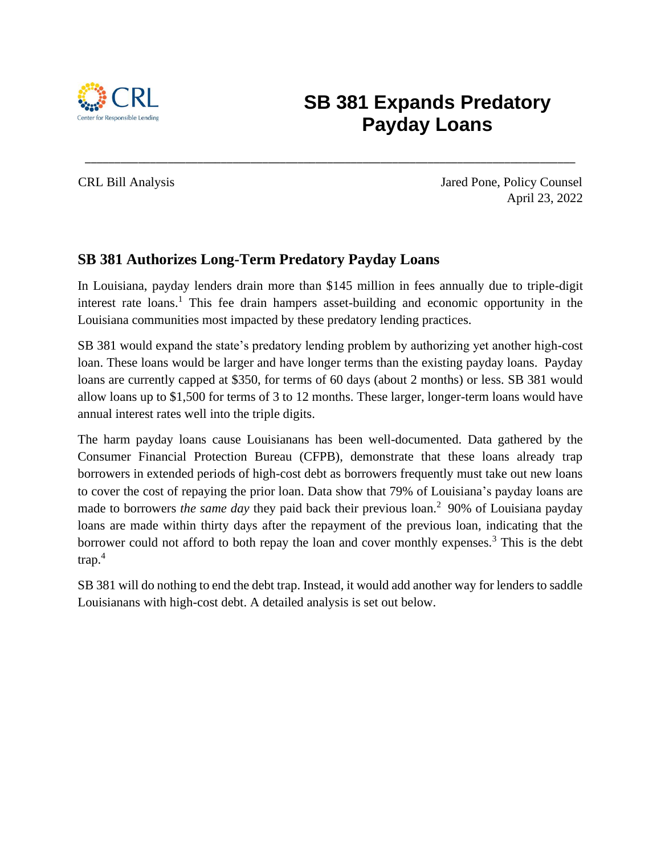

# **SB 381 Expands Predatory Payday Loans**

CRL Bill Analysis Jared Pone, Policy Counsel April 23, 2022

#### **SB 381 Authorizes Long-Term Predatory Payday Loans**

In Louisiana, payday lenders drain more than \$145 million in fees annually due to triple-digit interest rate loans.<sup>1</sup> This fee drain hampers asset-building and economic opportunity in the Louisiana communities most impacted by these predatory lending practices.

\_\_\_\_\_\_\_\_\_\_\_\_\_\_\_\_\_\_\_\_\_\_\_\_\_\_\_\_\_\_\_\_\_\_\_\_\_\_\_\_\_\_\_\_\_\_\_\_\_\_\_\_\_\_\_\_\_\_\_\_\_\_\_\_\_\_\_\_\_\_\_\_\_\_\_\_\_\_\_\_\_\_\_

SB 381 would expand the state's predatory lending problem by authorizing yet another high-cost loan. These loans would be larger and have longer terms than the existing payday loans. Payday loans are currently capped at \$350, for terms of 60 days (about 2 months) or less. SB 381 would allow loans up to \$1,500 for terms of 3 to 12 months. These larger, longer-term loans would have annual interest rates well into the triple digits.

The harm payday loans cause Louisianans has been well-documented. Data gathered by the Consumer Financial Protection Bureau (CFPB), demonstrate that these loans already trap borrowers in extended periods of high-cost debt as borrowers frequently must take out new loans to cover the cost of repaying the prior loan. Data show that 79% of Louisiana's payday loans are made to borrowers *the same day* they paid back their previous loan.<sup>2</sup> 90% of Louisiana payday loans are made within thirty days after the repayment of the previous loan, indicating that the borrower could not afford to both repay the loan and cover monthly expenses.<sup>3</sup> This is the debt trap. 4

SB 381 will do nothing to end the debt trap. Instead, it would add another way for lenders to saddle Louisianans with high-cost debt. A detailed analysis is set out below.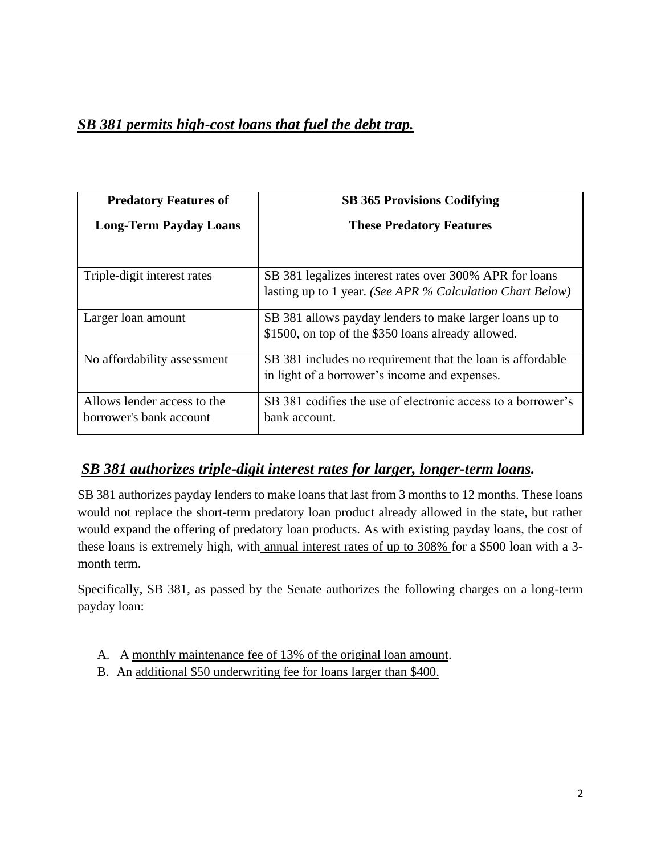# *SB 381 permits high-cost loans that fuel the debt trap.*

| <b>Predatory Features of</b>                           | <b>SB 365 Provisions Codifying</b>                                                                                   |
|--------------------------------------------------------|----------------------------------------------------------------------------------------------------------------------|
| <b>Long-Term Payday Loans</b>                          | <b>These Predatory Features</b>                                                                                      |
| Triple-digit interest rates                            | SB 381 legalizes interest rates over 300% APR for loans<br>lasting up to 1 year. (See APR % Calculation Chart Below) |
| Larger loan amount                                     | SB 381 allows payday lenders to make larger loans up to<br>\$1500, on top of the \$350 loans already allowed.        |
| No affordability assessment                            | SB 381 includes no requirement that the loan is affordable<br>in light of a borrower's income and expenses.          |
| Allows lender access to the<br>borrower's bank account | SB 381 codifies the use of electronic access to a borrower's<br>bank account.                                        |

### *SB 381 authorizes triple-digit interest rates for larger, longer-term loans.*

SB 381 authorizes payday lenders to make loans that last from 3 months to 12 months. These loans would not replace the short-term predatory loan product already allowed in the state, but rather would expand the offering of predatory loan products. As with existing payday loans, the cost of these loans is extremely high, with annual interest rates of up to 308% for a \$500 loan with a 3 month term.

Specifically, SB 381, as passed by the Senate authorizes the following charges on a long-term payday loan:

- A. A monthly maintenance fee of 13% of the original loan amount.
- B. An additional \$50 underwriting fee for loans larger than \$400.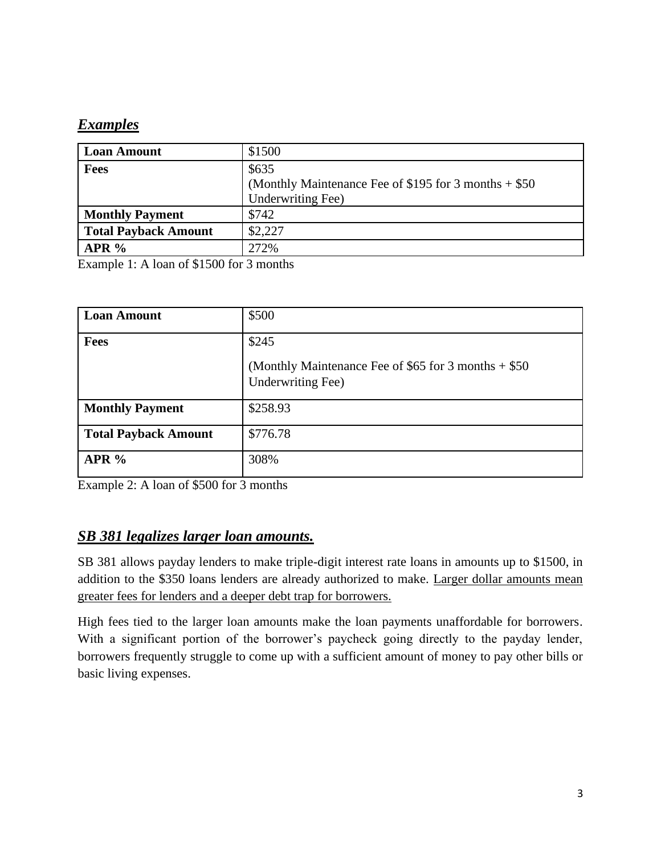# *Examples*

| (Monthly Maintenance Fee of \$195 for 3 months $+$ \$50 |
|---------------------------------------------------------|
|                                                         |
|                                                         |
|                                                         |
|                                                         |
|                                                         |

Example 1: A loan of \$1500 for 3 months

| <b>Loan Amount</b>          | \$500                                                                                |
|-----------------------------|--------------------------------------------------------------------------------------|
| <b>Fees</b>                 | \$245<br>(Monthly Maintenance Fee of \$65 for 3 months $+$ \$50<br>Underwriting Fee) |
| <b>Monthly Payment</b>      | \$258.93                                                                             |
| <b>Total Payback Amount</b> | \$776.78                                                                             |
| APR%                        | 308%                                                                                 |

Example 2: A loan of \$500 for 3 months

# *SB 381 legalizes larger loan amounts.*

SB 381 allows payday lenders to make triple-digit interest rate loans in amounts up to \$1500, in addition to the \$350 loans lenders are already authorized to make. Larger dollar amounts mean greater fees for lenders and a deeper debt trap for borrowers.

High fees tied to the larger loan amounts make the loan payments unaffordable for borrowers. With a significant portion of the borrower's paycheck going directly to the payday lender, borrowers frequently struggle to come up with a sufficient amount of money to pay other bills or basic living expenses.